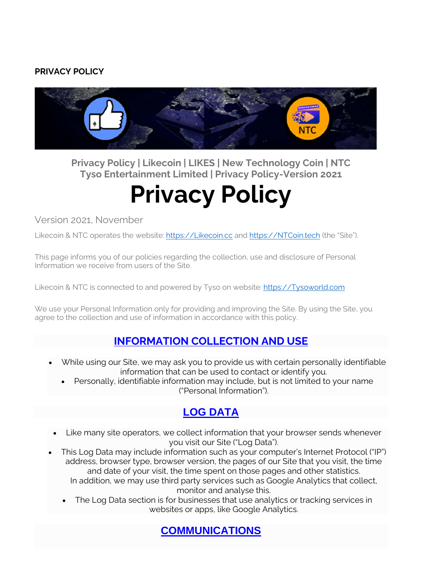#### **PRIVACY POLICY**



**Privacy Policy | Likecoin | LIKES | New Technology Coin | NTC Tyso Entertainment Limited | Privacy Policy-Version 2021**

# **Privacy Policy**

Version 2021, November

Likecoin & NTC operates the website: [https://Likecoin.cc](https://likecoin.cc/) and [https://NTCoin.tech](https://ntcoin.tech/) (the "Site").

This page informs you of our policies regarding the collection, use and disclosure of Personal Information we receive from users of the Site.

Likecoin & NTC is connected to and powered by Tyso on website: [https://Tysoworld.com](https://tysoworld.com/)

We use your Personal Information only for providing and improving the Site. By using the Site, you agree to the collection and use of information in accordance with this policy.

#### **[INFORMATION](https://likecoin.cc/privacy-policy-2/) COLLECTION AND USE**

- While using our Site, we may ask you to provide us with certain personally identifiable information that can be used to contact or identify you.
	- Personally, identifiable information may include, but is not limited to your name ("Personal Information").

# **LOG [DATA](https://likecoin.cc/privacy-policy-2/)**

- Like many site operators, we collect information that your browser sends whenever you visit our Site ("Log Data").
- This Log Data may include information such as your computer's Internet Protocol ("IP") address, browser type, browser version, the pages of our Site that you visit, the time and date of your visit, the time spent on those pages and other statistics. In addition, we may use third party services such as Google Analytics that collect, monitor and analyse this.
	- The Log Data section is for businesses that use analytics or tracking services in websites or apps, like Google Analytics.

**[COMMUNICATIONS](https://likecoin.cc/privacy-policy-2/)**